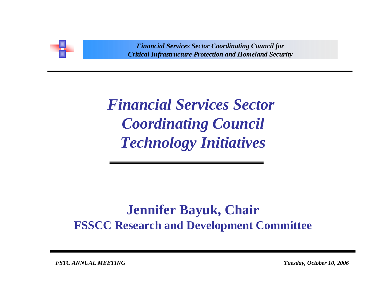

*Critical Infrastructure Protection and Homeland Security Financial Services Sector Coordinating Council for Critical Infrastructure Protection and Homeland Security*

*Financial Services Sector Coordinating Council Technology Initiatives*

## **Jennifer Bayuk, Chair FSSCC Research and Development Committee**

*FSTC ANNUAL MEETING Tuesday, October 10, 2006*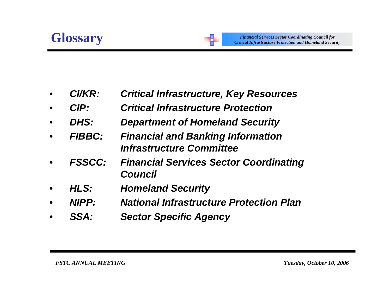- •*CI/KR: Critical Infrastructure, Key Resources*
- •*CIP: Critical Infrastructure Protection*
- •*DHS: Department of Homeland Security*
- • *FIBBC: Financial and Banking Information Infrastructure Committee*
- • *FSSCC: Financial Services Sector Coordinating Council*
- •*HLS: Homeland Security*
- •*NIPP: National Infrastructure Protection Plan*
- •*SSA: Sector Specific Agency*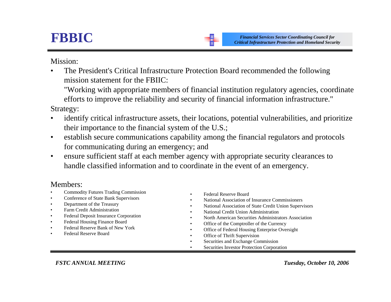## **FBBIC**

Mission:

• The President's Critical Infrastructure Protection Board recommended the following mission statement for the FBIIC:

"Working with appropriate members of financial institution regulatory agencies, coordinate efforts to improve the reliability and security of financial information infrastructure."

Strategy:

- • identify critical infrastructure assets, their locations, potential vulnerabilities, and prioritize their importance to the financial system of the U.S.;
- • establish secure communications capability among the financial regulators and protocols for communicating during an emergency; and
- • ensure sufficient staff at each member agency with appropriate security clearances to handle classified information and to coordinate in the event of an emergency.

## Members:

- •Commodity Futures Trading Commission
- •Conference of State Bank Supervisors
- •Department of the Treasury
- •Farm Credit Administration
- •Federal Deposit Insurance Corporation
- •Federal Housing Finance Board
- •Federal Reserve Bank of New York
- •Federal Reserve Board
- •Federal Reserve Board
- •National Association of Insurance Commissioners
- •National Association of State Credit Union Supervisors

*Financial Services Sector Coordinating Council for Critical Infrastructure Protection and Homeland Security*

- •National Credit Union Administration
- •North American Securities Administrators Association
- •Office of the Comptroller of the Currency
- •Office of Federal Housing Enterprise Oversight
- •Office of Thrift Supervision
- •Securities and Exchange Commission
- •Securities Investor Protection Corporation

*FSTC ANNUAL MEETING Tuesday, October 10, 2006*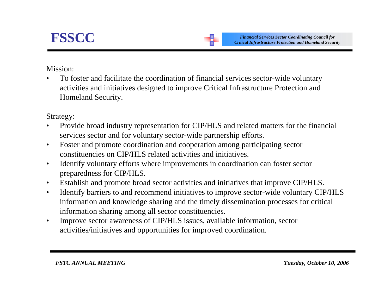Mission:

• To foster and facilitate the coordination of financial services sector-wide voluntary activities and initiatives designed to improve Critical Infrastructure Protection and Homeland Security.

Strategy:

- • Provide broad industry representation for CIP/HLS and related matters for the financial services sector and for voluntary sector-wide partnership efforts.
- $\bullet$  Foster and promote coordination and cooperation among participating sector constituencies on CIP/HLS related activities and initiatives.
- • Identify voluntary efforts where improvements in coordination can foster sector preparedness for CIP/HLS.
- $\bullet$ Establish and promote broad sector activities and initiatives that improve CIP/HLS.
- $\bullet$  Identify barriers to and recommend initiatives to improve sector-wide voluntary CIP/HLS information and knowledge sharing and the timely dissemination processes for critical information sharing among all sector constituencies.
- $\bullet$  Improve sector awareness of CIP/HLS issues, available information, sector activities/initiatives and opportunities for improved coordination.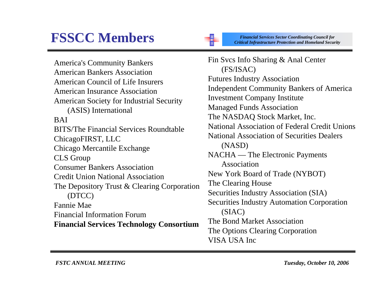## **FSSCC Members**

America's Community Bankers American Bankers Association American Council of Life Insurers American Insurance Association American Society for Industrial Security (ASIS) International BAI BITS/The Financial Services Roundtable ChicagoFIRST, LLC Chicago Mercantile Exchange CLS Group Consumer Bankers Association Credit Union National Association The Depository Trust & Clearing Corporation (DTCC) Fannie Mae Financial Information Forum **Financial Services Technology Consortium**

*Financial Services Sector Coordinating Council for Critical Infrastructure Protection and Homeland Security*

Fin Svcs Info Sharing & Anal Center (FS/ISAC) Futures Industry Association Independent Community Bankers of America Investment Company Institute Managed Funds Association The NASDAQ Stock Market, Inc. National Association of Federal Credit Unions National Association of Securities Dealers (NASD) NACHA — The Electronic Payments Association New York Board of Trade (NYBOT) The Clearing House Securities Industry Association (SIA) Securities Industry Automation Corporation (SIAC) The Bond Market Association The Options Clearing Corporation VISA USA Inc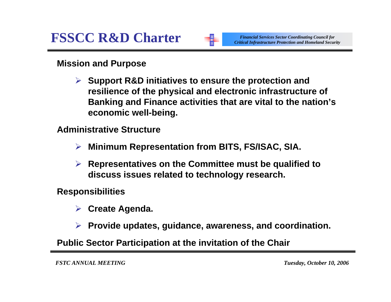

*Financial Services Sector Coordinating Council for Critical Infrastructure Protection and Homeland Security*

**Mission and Purpose**

¾ **Support R&D initiatives to ensure the protection and resilience of the physical and electronic infrastructure of Banking and Finance activities that are vital to the nation's economic well-being.**

**Administrative Structure**

- ¾**Minimum Representation from BITS, FS/ISAC, SIA.**
- ¾ **Representatives on the Committee must be qualified to discuss issues related to technology research.**

**Responsibilities**

- ¾**Create Agenda.**
- ¾ **Provide updates, guidance, awareness, and coordination.**

**Public Sector Participation at the invitation of the Chair**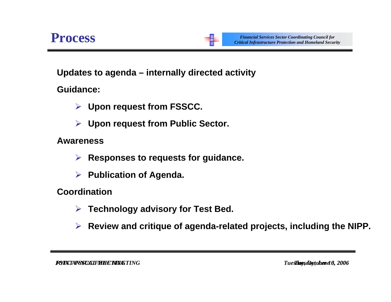**Updates to agenda – internally directed activity**

**Guidance:**

- ¾ **Upon request from FSSCC.**
- ¾ **Upon request from Public Sector.**

**Awareness**

- ¾ **Responses to requests for guidance.**
- ¾ **Publication of Agenda.**

**Coordination**

- ¾**Technology advisory for Test Bed.**
- ¾ **Review and critique of agenda-related projects, including the NIPP.**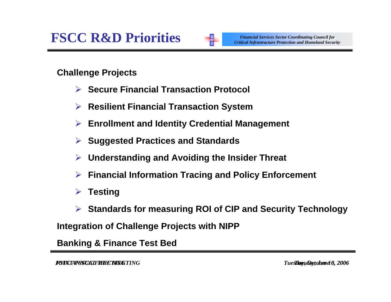

*Financial Services Sector Coordinating Council for Critical Infrastructure Protection and Homeland Security*

**Challenge Projects**

- ¾ **Secure Financial Transaction Protocol**
- ¾ **Resilient Financial Transaction System**
- ¾**Enrollment and Identity Credential Management**
- ¾**Suggested Practices and Standards**
- ¾**Understanding and Avoiding the Insider Threat**
- ¾**Financial Information Tracing and Policy Enforcement**
- ¾**Testing**
- ¾ **Standards for measuring ROI of CIP and Security Technology**

**Integration of Challenge Projects with NIPP**

**Banking & Finance Test Bed**